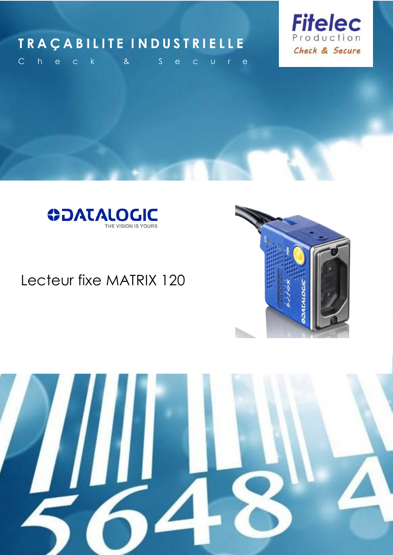# **T R A Ç A B I L I T E I N D U S T R I E L L E**



C h e c k & S e c u r e



# Lecteur fixe MATRIX 120



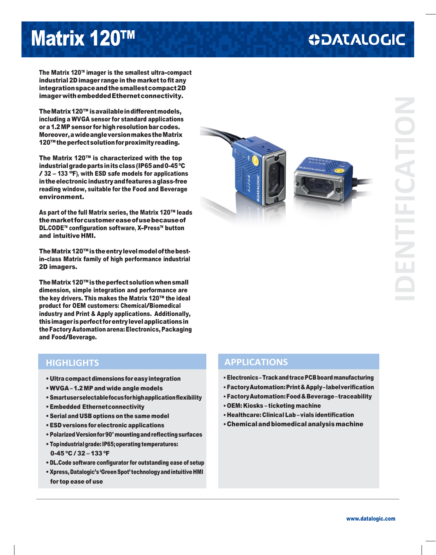# **ODATALOGIC**

The Matrix <sup>120</sup>™ imager is the smallest ultra-compact industrial 2D imager range in the market to fit any integrationspaceandthesmallestcompact2D imagerwithembeddedEthernetconnectivity.

Matrix 120™

TheMatrix120™ isavailableindifferentmodels, including a WVGA sensor for standard applications or a 1.2MP sensor forhigh resolution barcodes. Moreover,awideangleversionmakestheMatrix 120™ the perfect solution for proximity reading.

The Matrix 120™ is characterized with the top industrialgradepartsinitsclass(IP65and0-45ºC / <sup>32</sup> – <sup>133</sup> ºF), with ESD safe models for applications in the electronic industry and features a glass-free reading window, suitable for the Food and Beverage environment.

As part of the full Matrix series, the Matrix 120™ leads themarket forcustomereaseofusebecauseof DL.CODE™ configuration software, X-Press™ button and intuitive HMI.

The Matrix 120™ is the entry level model of the bestin-class Matrix family of high performance industrial 2D imagers.

The Matrix 120 $\text{m}$  is the perfect solution when small dimension, simple integration and performance are the key drivers. This makes the Matrix 120™ the ideal product for OEM customers: Chemical/Biomedical industry and Print & Apply applications. Additionally, thisimager isperfect forentrylevelapplicationsin the Factory Automation arena: Electronics, Packaging and Food/Beverage.



# **IDENTIFICATION**

- Ultracompactdimensionsforeasy integration
- •WVGA 1.2MP and wide angle models
- Smartuserselectablefocusforhighapplicationflexibility
- •Embedded Ethernetconnectivity
- •Serial and USB options on the same model
- •ESD versions for electronic applications
- Polarized Version for 90° mounting and reflecting surfaces
- Topindustrialgrade:IP65;operating temperatures: 0-45 ºC /32 – <sup>133</sup> ºF
- •DL.Code software configurator for outstanding ease of setup
- •Xpress,Datalogic's 'Green Spot' technologyandintuitive HMI for top ease of use

### **HIGHLIGHTS APPLICATIONS**

- Electronics Track and trace PCB board manufacturing
- •FactoryAutomation:Print&Apply–labelverification
- •FactoryAutomation:Food&Beverage–traceability
- OEM: Kiosks ticketing machine
- Healthcare: Clinical Lab vials identification
- •Chemicalandbiomedicalanalysismachine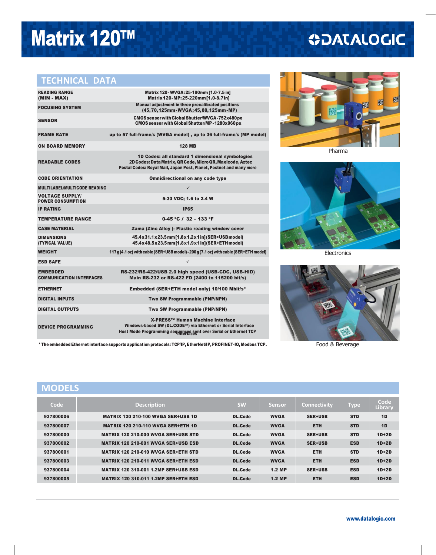# Matrix 120™

# **TECHNICAL DATA**

| <b>READING RANGE</b><br>$(MIN - MAX)$              | Matrix 120 - WVGA: 25-190mm [1.0-7.5 in]<br>Matrix 120-MP: 25-220mm [1.0-8.7 in]                                                                                                     |
|----------------------------------------------------|--------------------------------------------------------------------------------------------------------------------------------------------------------------------------------------|
| <b>FOCUSING SYSTEM</b>                             | Manual adjustment in three precalibrated positions<br>(45, 70, 125mm - WVGA; 45, 80, 125mm - MP)                                                                                     |
| <b>SENSOR</b>                                      | CMOSsensor with Global Shutter/WVGA-752x480px<br>CMOS sensor with Global Shutter/MP-1280x960 px                                                                                      |
| <b>FRAME RATE</b>                                  | up to 57 full-frame/s (WVGA model), up to 36 full-frame/s (MP model)                                                                                                                 |
| <b>ON BOARD MEMORY</b>                             | <b>128 MB</b>                                                                                                                                                                        |
| <b>READABLE CODES</b>                              | 1D Codes: all standard 1 dimensional symbologies<br>2D Codes: Data Matrix, QR Code, Micro QR, Maxicode, Aztec<br>Postal Codes: Royal Mail, Japan Post, Planet, Postnet and many more |
| <b>CODE ORIENTATION</b>                            | <b>Omnidirectional on any code type</b>                                                                                                                                              |
| <b>MULTILABEL/MULTICODE READING</b>                | $\checkmark$                                                                                                                                                                         |
| <b>VOLTAGE SUPPLY/</b><br><b>POWER CONSUMPTION</b> | 5-30 VDC; 1.6 to 2.4 W                                                                                                                                                               |
| <b>IP RATING</b>                                   | <b>IP65</b>                                                                                                                                                                          |
| <b>TEMPERATURE RANGE</b>                           | $0-45$ °C / 32 - 133 °F                                                                                                                                                              |
| <b>CASE MATERIAL</b>                               | Zama (Zinc Alloy) - Plastic reading window cover                                                                                                                                     |
| <b>DIMENSIONS</b><br>(TYPICAL VALUE)               | 45.4x31.1x23.5mm[1.8x1.2x1in](SER+USB model)<br>45.4x48.5x23.5mm[1.8x1.9x1in](SER+ETH model)                                                                                         |
| <b>WEIGHT</b>                                      | 117 g (4.1 oz) with cable (SER+USB model) - 200 g (7.1 oz) with cable (SER+ETH model)                                                                                                |
| <b>ESD SAFE</b>                                    |                                                                                                                                                                                      |
| <b>EMBEDDED</b><br><b>COMMUNICATION INTERFACES</b> | RS-232/RS-422/USB 2.0 high speed (USB-CDC, USB-HID)<br>Main RS-232 or RS-422 FD (2400 to 115200 bit/s)                                                                               |
| <b>ETHERNET</b>                                    | Embedded (SER+ETH model only) 10/100 Mbit/s*                                                                                                                                         |
| <b>DIGITAL INPUTS</b>                              | Two SW Programmable (PNP/NPN)                                                                                                                                                        |
| <b>DIGITAL OUTPUTS</b>                             | Two SW Programmable (PNP/NPN)                                                                                                                                                        |
| <b>DEVICE PROGRAMMING</b>                          | X-PRESS™ Human Machine Interface<br>Windows-based SW (DL.CODE™) via Ethernet or Serial Interface<br>Host Mode Programming sequences, sent over Serial or Ethernet TCP                |

\* The embedded Ethernet interface supports application protocols: TCP/IP, EtherNet/IP, PROFINET-IO, Modbus TCP.

# **ODATALOGIC**



Pharma



Electronics



Food & Beverage

## **MODELS**

| Code      | <b>Description</b>                          | <b>SW</b>      | <b>Sensor</b> | <b>Connectivity</b> | <b>Type</b> | Code<br>Library |
|-----------|---------------------------------------------|----------------|---------------|---------------------|-------------|-----------------|
| 937800006 | <b>MATRIX 120 210-100 WVGA SER+USB 1D</b>   | <b>DL.Code</b> | <b>WVGA</b>   | <b>SER+USB</b>      | <b>STD</b>  | 1D              |
| 937800007 | <b>MATRIX 120 210-110 WVGA SER+ETH 1D</b>   | <b>DL.Code</b> | <b>WVGA</b>   | <b>ETH</b>          | <b>STD</b>  | 1D              |
| 937800000 | <b>MATRIX 120 210-000 WVGA SER+USB STD</b>  | <b>DL.Code</b> | <b>WVGA</b>   | <b>SER+USB</b>      | <b>STD</b>  | $1D+2D$         |
| 937800002 | <b>MATRIX 120 210-001 WVGA SER+USB ESD</b>  | <b>DL.Code</b> | <b>WVGA</b>   | <b>SER+USB</b>      | <b>ESD</b>  | $1D+2D$         |
| 937800001 | <b>MATRIX 120 210-010 WVGA SER+ETH STD</b>  | <b>DL.Code</b> | <b>WVGA</b>   | <b>ETH</b>          | <b>STD</b>  | $1D+2D$         |
| 937800003 | <b>MATRIX 120 210-011 WVGA SER+ETH ESD</b>  | <b>DL.Code</b> | <b>WVGA</b>   | <b>ETH</b>          | <b>ESD</b>  | $1D+2D$         |
| 937800004 | <b>MATRIX 120 310-001 1.2MP SER+USB ESD</b> | <b>DL.Code</b> | 1.2 MP        | <b>SER+USB</b>      | <b>ESD</b>  | $1D+2D$         |
| 937800005 | <b>MATRIX 120 310-011 1.2MP SER+ETH ESD</b> | <b>DL.Code</b> | 1.2 MP        | <b>ETH</b>          | <b>ESD</b>  | $1D+2D$         |